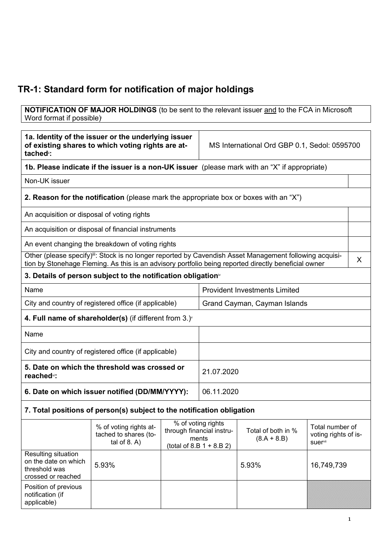## TR-1: Standard form for notification of major holdings

**NOTIFICATION OF MAJOR HOLDINGS** (to be sent to the relevant issuer <u>and</u> to the FCA in Microsoft Word format if possible)

| 1a. Identity of the issuer or the underlying issuer<br>of existing shares to which voting rights are at-<br>tached <sup>®</sup> : |                                                                                                                                                                                                                              |            | MS International Ord GBP 0.1, Sedol: 0595700                                            |                                     |                                                    |   |
|-----------------------------------------------------------------------------------------------------------------------------------|------------------------------------------------------------------------------------------------------------------------------------------------------------------------------------------------------------------------------|------------|-----------------------------------------------------------------------------------------|-------------------------------------|----------------------------------------------------|---|
| 1b. Please indicate if the issuer is a non-UK issuer (please mark with an "X" if appropriate)                                     |                                                                                                                                                                                                                              |            |                                                                                         |                                     |                                                    |   |
| Non-UK issuer                                                                                                                     |                                                                                                                                                                                                                              |            |                                                                                         |                                     |                                                    |   |
|                                                                                                                                   | 2. Reason for the notification (please mark the appropriate box or boxes with an "X")                                                                                                                                        |            |                                                                                         |                                     |                                                    |   |
| An acquisition or disposal of voting rights                                                                                       |                                                                                                                                                                                                                              |            |                                                                                         |                                     |                                                    |   |
|                                                                                                                                   | An acquisition or disposal of financial instruments                                                                                                                                                                          |            |                                                                                         |                                     |                                                    |   |
|                                                                                                                                   | An event changing the breakdown of voting rights                                                                                                                                                                             |            |                                                                                         |                                     |                                                    |   |
|                                                                                                                                   | Other (please specify) <sup>iii</sup> : Stock is no longer reported by Cavendish Asset Management following acquisi-<br>tion by Stonehage Fleming. As this is an advisory portfolio being reported directly beneficial owner |            |                                                                                         |                                     |                                                    | X |
|                                                                                                                                   | 3. Details of person subject to the notification obligation <sup>®</sup>                                                                                                                                                     |            |                                                                                         |                                     |                                                    |   |
| Name                                                                                                                              |                                                                                                                                                                                                                              |            | <b>Provident Investments Limited</b>                                                    |                                     |                                                    |   |
| City and country of registered office (if applicable)                                                                             |                                                                                                                                                                                                                              |            | Grand Cayman, Cayman Islands                                                            |                                     |                                                    |   |
| 4. Full name of shareholder(s) (if different from $3.$ )                                                                          |                                                                                                                                                                                                                              |            |                                                                                         |                                     |                                                    |   |
| Name                                                                                                                              |                                                                                                                                                                                                                              |            |                                                                                         |                                     |                                                    |   |
| City and country of registered office (if applicable)                                                                             |                                                                                                                                                                                                                              |            |                                                                                         |                                     |                                                    |   |
| 5. Date on which the threshold was crossed or<br>reached <sup>vi</sup> :                                                          |                                                                                                                                                                                                                              |            | 21.07.2020                                                                              |                                     |                                                    |   |
| 6. Date on which issuer notified (DD/MM/YYYY):                                                                                    |                                                                                                                                                                                                                              | 06.11.2020 |                                                                                         |                                     |                                                    |   |
| 7. Total positions of person(s) subject to the notification obligation                                                            |                                                                                                                                                                                                                              |            |                                                                                         |                                     |                                                    |   |
|                                                                                                                                   | % of voting rights at-<br>tached to shares (to-<br>tal of $8. A$ )                                                                                                                                                           |            | % of voting rights<br>through financial instru-<br>ments<br>(total of 8.B $1 + 8.B 2$ ) | Total of both in %<br>$(8.A + 8.B)$ | Total number of<br>voting rights of is-<br>suervii |   |
| Resulting situation<br>on the date on which<br>threshold was<br>crossed or reached                                                | 5.93%                                                                                                                                                                                                                        |            |                                                                                         | 5.93%                               | 16,749,739                                         |   |
| Position of previous<br>notification (if<br>applicable)                                                                           |                                                                                                                                                                                                                              |            |                                                                                         |                                     |                                                    |   |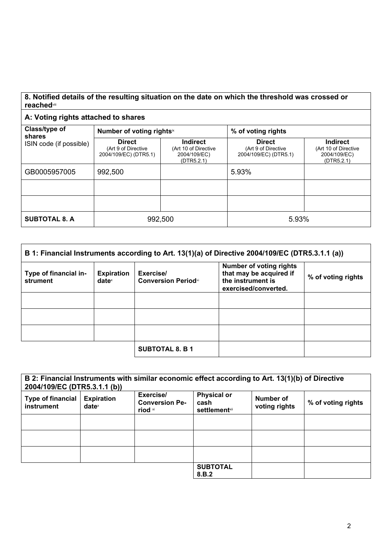## 8. Notified details of the resulting situation on the date on which the threshold was crossed or reachedviii

## A: Voting rights attached to shares

| Class/type of<br>shares<br>ISIN code (if possible) | Number of voting rightsix                                     |                                                                       | % of voting rights                                            |                                                                       |
|----------------------------------------------------|---------------------------------------------------------------|-----------------------------------------------------------------------|---------------------------------------------------------------|-----------------------------------------------------------------------|
|                                                    | <b>Direct</b><br>(Art 9 of Directive<br>2004/109/EC) (DTR5.1) | <b>Indirect</b><br>(Art 10 of Directive<br>2004/109/EC)<br>(DTR5.2.1) | <b>Direct</b><br>(Art 9 of Directive<br>2004/109/EC) (DTR5.1) | <b>Indirect</b><br>(Art 10 of Directive<br>2004/109/EC)<br>(DTR5.2.1) |
| GB0005957005                                       | 992,500                                                       |                                                                       | 5.93%                                                         |                                                                       |
|                                                    |                                                               |                                                                       |                                                               |                                                                       |
|                                                    |                                                               |                                                                       |                                                               |                                                                       |
| <b>SUBTOTAL 8. A</b>                               | 992,500                                                       |                                                                       | 5.93%                                                         |                                                                       |

| B 1: Financial Instruments according to Art. 13(1)(a) of Directive 2004/109/EC (DTR5.3.1.1 (a)) |                                        |                                         |                                                                                                        |                    |
|-------------------------------------------------------------------------------------------------|----------------------------------------|-----------------------------------------|--------------------------------------------------------------------------------------------------------|--------------------|
| Type of financial in-<br>strument                                                               | <b>Expiration</b><br>date <sup>x</sup> | Exercise/<br><b>Conversion Periodxi</b> | <b>Number of voting rights</b><br>that may be acquired if<br>the instrument is<br>exercised/converted. | % of voting rights |
|                                                                                                 |                                        |                                         |                                                                                                        |                    |
|                                                                                                 |                                        |                                         |                                                                                                        |                    |
|                                                                                                 |                                        |                                         |                                                                                                        |                    |
|                                                                                                 |                                        | <b>SUBTOTAL 8. B 1</b>                  |                                                                                                        |                    |

| 2004/109/EC (DTR5.3.1.1 (b))           |                                        | B 2: Financial Instruments with similar economic effect according to Art. 13(1)(b) of Directive |                                                     |                            |                    |
|----------------------------------------|----------------------------------------|-------------------------------------------------------------------------------------------------|-----------------------------------------------------|----------------------------|--------------------|
| <b>Type of financial</b><br>instrument | <b>Expiration</b><br>date <sup>x</sup> | Exercise/<br><b>Conversion Pe-</b><br>riod xi                                                   | <b>Physical or</b><br>cash<br><b>settlement</b> xii | Number of<br>voting rights | % of voting rights |
|                                        |                                        |                                                                                                 |                                                     |                            |                    |
|                                        |                                        |                                                                                                 |                                                     |                            |                    |
|                                        |                                        |                                                                                                 |                                                     |                            |                    |
|                                        |                                        |                                                                                                 | <b>SUBTOTAL</b><br>8.B.2                            |                            |                    |